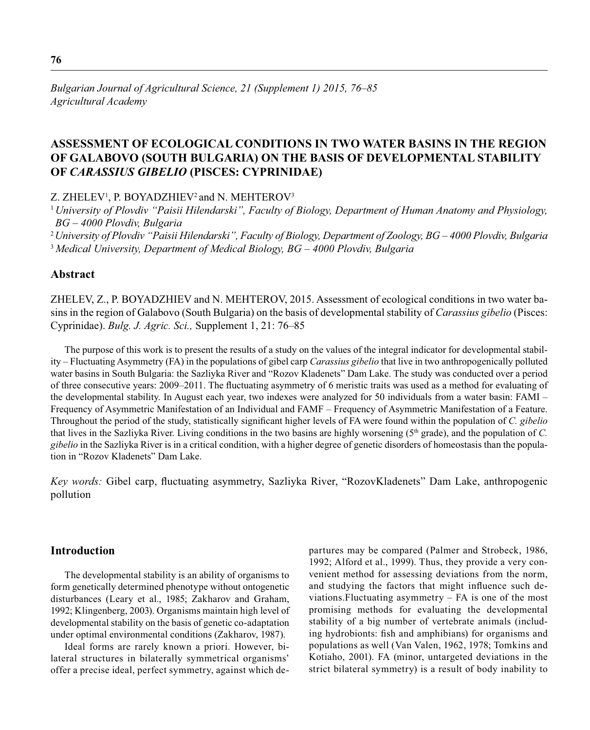# **ASSESSMENT OF ECOLOGICAL CONDITIONS IN TWO WATER BASINS IN THE REGION OF GALABOVO (SOUTH BULGARIA) ON THE BASIS OF DEVELOPMENTAL STABILITY OF** *CARASSIUS GIBELIO* **(PISCES: CYPRINIDAE)**

Z. ZHELEV<sup>1</sup>, P. BOYADZHIEV<sup>2</sup> and N. MEHTEROV<sup>3</sup>

<sup>1</sup>*University of Plovdiv "Paisii Hilendarski", Faculty of Biology, Department of Human Anatomy and Physiology, BG – 4000 Plovdiv, Bulgaria*

<sup>2</sup>*University of Plovdiv "Paisii Hilendarski", Faculty of Biology, Department of Zoology, BG – 4000 Plovdiv, Bulgaria* <sup>3</sup>*Medical University, Department of Medical Biology, BG – 4000 Plovdiv, Bulgaria*

# **Abstract**

ZHELEV, Z., P. BOYADZHIEV and N. MEHTEROV, 2015. Assessment of ecological conditions in two water basins in the region of Galabovo (South Bulgaria) on the basis of developmental stability of *Carassius gibelio* (Pisces: Cyprinidae). *Bulg. J. Agric. Sci.,* Supplement 1, 21: 76–85

The purpose of this work is to present the results of a study on the values of the integral indicator for developmental stability – Fluctuating Asymmetry (FA) in the populations of gibel carp *Carassius gibelio* that live in two anthropogenically polluted water basins in South Bulgaria: the Sazliyka River and "Rozov Kladenets" Dam Lake. The study was conducted over a period of three consecutive years: 2009–2011. The fluctuating asymmetry of 6 meristic traits was used as a method for evaluating of the developmental stability. In August each year, two indexes were analyzed for 50 individuals from a water basin: FAMI – Frequency of Asymmetric Manifestation of an Individual and FAMF – Frequency of Asymmetric Manifestation of a Feature. Throughout the period of the study, statistically significant higher levels of FA were found within the population of *C. gibelio* that lives in the Sazliyka River. Living conditions in the two basins are highly worsening (5th grade), and the population of *C. gibelio* in the Sazliyka River is in a critical condition, with a higher degree of genetic disorders of homeostasis than the population in "Rozov Kladenets" Dam Lake.

*Key words:* Gibel carp, fluctuating asymmetry, Sazliyka River, "RozovKladenets" Dam Lake, anthropogenic pollution

# **Introduction**

The developmental stability is an ability of organisms to form genetically determined phenotype without ontogenetic disturbances (Leary et al., 1985; Zakharov and Graham, 1992; Klingenberg, 2003). Organisms maintain high level of developmental stability on the basis of genetic co-adaptation under optimal environmental conditions (Zakharov, 1987).

Ideal forms are rarely known a priori. However, bilateral structures in bilaterally symmetrical organisms' offer a precise ideal, perfect symmetry, against which departures may be compared (Palmer and Strobeck, 1986, 1992; Alford et al., 1999). Thus, they provide a very convenient method for assessing deviations from the norm, and studying the factors that might influence such deviations.Fluctuating asymmetry – FA is one of the most promising methods for evaluating the developmental stability of a big number of vertebrate animals (including hydrobionts: fish and amphibians) for organisms and populations as well (Van Valen, 1962, 1978; Tomkins and Kotiaho, 2001). FA (minor, untargeted deviations in the strict bilateral symmetry) is a result of body inability to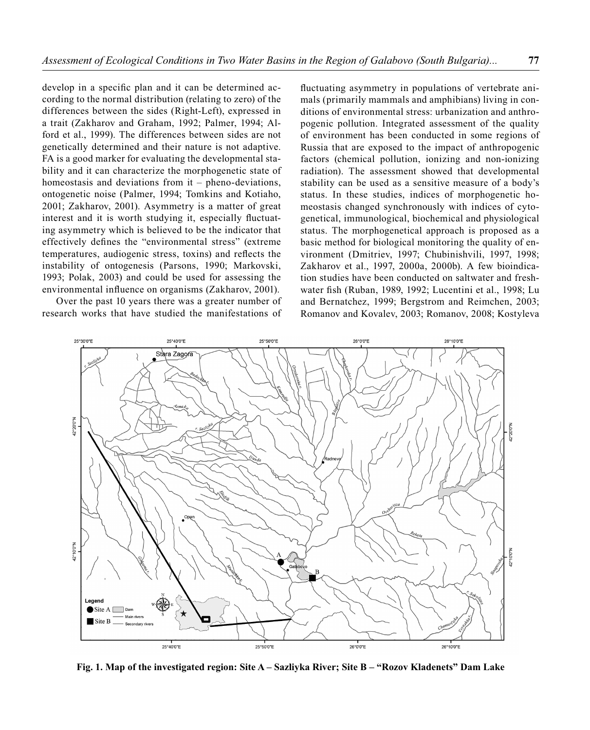develop in a specific plan and it can be determined according to the normal distribution (relating to zero) of the differences between the sides (Right-Left), expressed in a trait (Zakharov and Graham, 1992; Palmer, 1994; Alford et al., 1999). The differences between sides are not genetically determined and their nature is not adaptive. FA is a good marker for evaluating the developmental stability and it can characterize the morphogenetic state of homeostasis and deviations from it – pheno-deviations, ontogenetic noise (Palmer, 1994; Tomkins and Kotiaho, 2001; Zakharov, 2001). Asymmetry is a matter of great interest and it is worth studying it, especially fluctuating asymmetry which is believed to be the indicator that effectively defines the "environmental stress" (extreme temperatures, audiogenic stress, toxins) and reflects the instability of ontogenesis (Parsons, 1990; Markovski, 1993; Polak, 2003) and could be used for assessing the environmental influence on organisms (Zakharov, 2001).

Over the past 10 years there was a greater number of research works that have studied the manifestations of

fluctuating asymmetry in populations of vertebrate animals (primarily mammals and amphibians) living in conditions of environmental stress: urbanization and anthropogenic pollution. Integrated assessment of the quality of environment has been conducted in some regions of Russia that are exposed to the impact of anthropogenic factors (chemical pollution, ionizing and non-ionizing radiation). The assessment showed that developmental stability can be used as a sensitive measure of a body's status. In these studies, indices of morphogenetic homeostasis changed synchronously with indices of cytogenetical, immunological, biochemical and physiological status. The morphogenetical approach is proposed as a basic method for biological monitoring the quality of environment (Dmitriev, 1997; Chubinishvili, 1997, 1998; Zakharov et al., 1997, 2000a, 2000b). A few bioindication studies have been conducted on saltwater and freshwater fish (Ruban, 1989, 1992; Lucentini et al., 1998; Lu and Bernatchez, 1999; Bergstrom and Reimchen, 2003; Romanov and Kovalev, 2003; Romanov, 2008; Kostyleva



**Fig. 1. Map of the investigated region: Site A – Sazliyka River; Site B – "Rozov Kladenets" Dam Lake**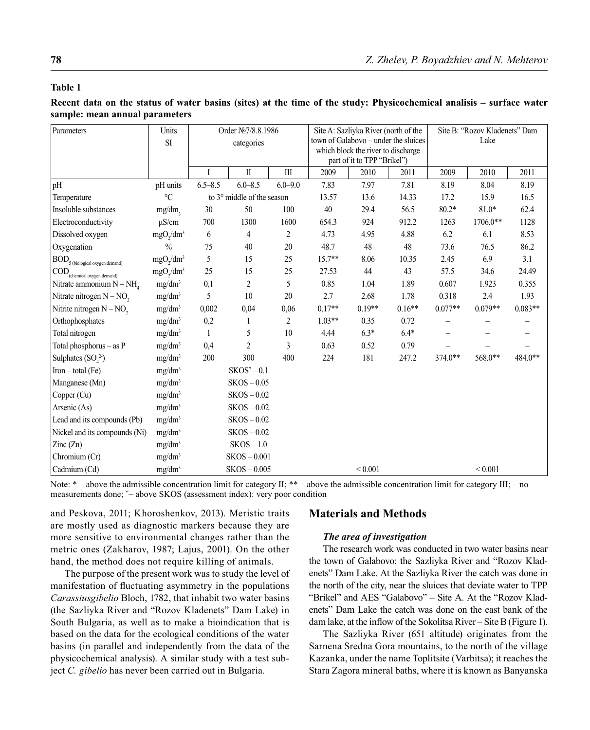## **Table 1**

# **Recent data on the status of water basins (sites) at the time of the study: Physicochemical analisis – surface water sample: mean annual parameters**

| Parameters                                                         | Units                             | Order Nº7/8.8.1986          |                         |             | Site A: Sazliyka River (north of the                                       |              |          | Site B: "Rozov Kladenets" Dam |              |           |
|--------------------------------------------------------------------|-----------------------------------|-----------------------------|-------------------------|-------------|----------------------------------------------------------------------------|--------------|----------|-------------------------------|--------------|-----------|
|                                                                    | <b>SI</b>                         |                             | categories              |             | town of Galabovo – under the sluices<br>which block the river to discharge |              |          | Lake                          |              |           |
|                                                                    |                                   | part of it to TPP "Brikel") |                         |             |                                                                            |              |          |                               |              |           |
|                                                                    |                                   | Ι                           | $\mathbf{I}$            | Ш           | 2009                                                                       | 2010         | 2011     | 2009                          | 2010         | 2011      |
| pH                                                                 | pH units                          | $6.5 - 8.5$                 | $6.0 - 8.5$             | $6.0 - 9.0$ | 7.83                                                                       | 7.97         | 7.81     | 8.19                          | 8.04         | 8.19      |
| Temperature                                                        | $\rm ^{\circ}C$                   | to 3° middle of the season  |                         |             | 13.57                                                                      | 13.6         | 14.33    | 17.2                          | 15.9         | 16.5      |
| Insoluble substances                                               | mg/dm,                            | 30                          | 50                      | 100         | 40                                                                         | 29.4         | 56.5     | $80.2*$                       | $81.0*$      | 62.4      |
| Electroconductivity                                                | $\mu$ S/cm                        | 700                         | 1300                    | 1600        | 654.3                                                                      | 924          | 912.2    | 1263                          | $1706.0**$   | 1128      |
| Dissolved oxygen                                                   | mgO <sub>2</sub> /dm <sup>3</sup> | 6                           | 4                       | 2           | 4.73                                                                       | 4.95         | 4.88     | 6.2                           | 6.1          | 8.53      |
| Oxygenation                                                        | $\frac{0}{0}$                     | 75                          | 40                      | 20          | 48.7                                                                       | 48           | 48       | 73.6                          | 76.5         | 86.2      |
| $\left  \text{BOD}_{_5 \text{(biological oxygen demand)}} \right.$ | mgO <sub>2</sub> /dm <sup>3</sup> | 5                           | 15                      | 25          | $15.7**$                                                                   | 8.06         | 10.35    | 2.45                          | 6.9          | 3.1       |
| $\left  \text{COD}_{\text{(chemical oxygen demand)}} \right $      | mgO <sub>2</sub> /dm <sup>3</sup> | 25                          | 15                      | 25          | 27.53                                                                      | 44           | 43       | 57.5                          | 34.6         | 24.49     |
| Nitrate ammonium $N - NH4$                                         | mg/dm <sup>3</sup>                | 0,1                         | $\overline{\mathbf{c}}$ | 5           | 0.85                                                                       | 1.04         | 1.89     | 0.607                         | 1.923        | 0.355     |
| Nitrate nitrogen $N - NO$ ,                                        | mg/dm <sup>3</sup>                | 5                           | 10                      | 20          | 2.7                                                                        | 2.68         | 1.78     | 0.318                         | 2.4          | 1.93      |
| Nitrite nitrogen $N - NO$ ,                                        | mg/dm <sup>3</sup>                | 0,002                       | 0,04                    | 0,06        | $0.17**$                                                                   | $0.19**$     | $0.16**$ | $0.077**$                     | $0.079**$    | $0.083**$ |
| Orthophosphates                                                    | mg/dm <sup>3</sup>                | 0,2                         | 1                       | 2           | $1.03**$                                                                   | 0.35         | 0.72     |                               |              |           |
| Total nitrogen                                                     | mg/dm <sup>3</sup>                | 1                           | 5                       | $10\,$      | 4.44                                                                       | $6.3*$       | $6.4*$   |                               |              |           |
| Total phosphorus - as P                                            | mg/dm <sup>3</sup>                | 0,4                         | 2                       | 3           | 0.63                                                                       | 0.52         | 0.79     |                               |              |           |
| Sulphates $(SO_4^2)$                                               | mg/dm <sup>3</sup>                | 200                         | 300                     | 400         | 224                                                                        | 181          | 247.2    | 374.0**                       | 568.0**      | 484.0**   |
| $Iron - total (Fe)$                                                | mg/dm <sup>3</sup>                |                             | $SKOS'' - 0.1$          |             |                                                                            |              |          |                               |              |           |
| Manganese (Mn)                                                     | $\text{mg}/\text{dm}^3$           |                             | $SKOS - 0.05$           |             |                                                                            |              |          |                               |              |           |
| Copper (Cu)                                                        | mg/dm <sup>3</sup>                |                             | $SKOS - 0.02$           |             |                                                                            |              |          |                               |              |           |
| Arsenic (As)                                                       | $\text{mg}/\text{dm}^3$           |                             | $SKOS - 0.02$           |             |                                                                            |              |          |                               |              |           |
| Lead and its compounds (Pb)                                        | mg/dm <sup>3</sup>                |                             | $SKOS - 0.02$           |             |                                                                            |              |          |                               |              |           |
| Nickel and its compounds (Ni)                                      | mg/dm <sup>3</sup>                |                             | $SKOS - 0.02$           |             |                                                                            |              |          |                               |              |           |
| $\text{Zinc}(\text{Zn})$                                           | mg/dm <sup>3</sup>                |                             | $SKOS-1.0$              |             |                                                                            |              |          |                               |              |           |
| Chromium (Cr)                                                      | mg/dm <sup>3</sup>                |                             | $SKOS - 0.001$          |             |                                                                            |              |          |                               |              |           |
| Cadmium (Cd)                                                       | mg/dm <sup>3</sup>                |                             | $SKOS - 0.005$          |             |                                                                            | ${}_{0.001}$ |          |                               | ${}_{0.001}$ |           |

Note:  $*$  – above the admissible concentration limit for category II:  $**$  – above the admissible concentration limit for category III: – no measurements done; ˝– above SKOS (assessment index): very poor condition

and Peskova, 2011; Khoroshenkov, 2013). Meristic traits are mostly used as diagnostic markers because they are more sensitive to environmental changes rather than the metric ones (Zakharov, 1987; Lajus, 2001). On the other hand, the method does not require killing of animals.

The purpose of the present work was to study the level of manifestation of fluctuating asymmetry in the populations *Carassiusgibelio* Bloch, 1782, that inhabit two water basins (the Sazliyka River and "Rozov Kladenets" Dam Lake) in South Bulgaria, as well as to make a bioindication that is based on the data for the ecological conditions of the water basins (in parallel and independently from the data of the physicochemical analysis). A similar study with a test subject *C. gibelio* has never been carried out in Bulgaria.

### **Materials and Methods**

### *The area of investigation*

The research work was conducted in two water basins near the town of Galabovo: the Sazliyka River and "Rozov Kladenets" Dam Lake. At the Sazliyka River the catch was done in the north of the city, near the sluices that deviate water to TPP "Brikel" and AES "Galabovo" – Site A. At the "Rozov Kladenets" Dam Lake the catch was done on the east bank of the dam lake, at the inflow of the Sokolitsa River – Site B (Figure 1).

The Sazliyka River (651 altitude) originates from the Sarnena Sredna Gora mountains, to the north of the village Kazanka, under the name Toplitsite (Varbitsa); it reaches the Stara Zagora mineral baths, where it is known as Banyanska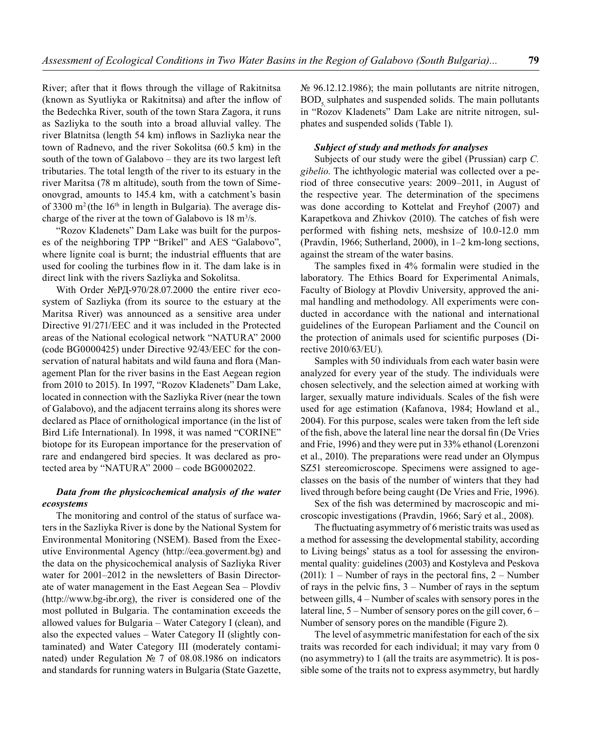River; after that it flows through the village of Rakitnitsa (known as Syutliyka or Rakitnitsa) and after the inflow of the Bedechka River, south of the town Stara Zagora, it runs as Sazliyka to the south into a broad alluvial valley. The river Blatnitsa (length 54 km) inflows in Sazliyka near the town of Radnevo, and the river Sokolitsa (60.5 km) in the south of the town of Galabovo – they are its two largest left tributaries. The total length of the river to its estuary in the river Maritsa (78 m altitude), south from the town of Simeonovgrad, amounts to 145.4 km, with a catchment's basin of 3300 m<sup>2</sup> (the 16<sup>th</sup> in length in Bulgaria). The average discharge of the river at the town of Galabovo is  $18 \text{ m}^3/\text{s}$ .

"Rozov Kladenets" Dam Lake was built for the purposes of the neighboring TPP "Brikel" and AES "Galabovo", where lignite coal is burnt; the industrial effluents that are used for cooling the turbines flow in it. The dam lake is in direct link with the rivers Sazliyka and Sokolitsa.

With Order №РД-970/28.07.2000 the entire river ecosystem of Sazliyka (from its source to the estuary at the Maritsa River) was announced as a sensitive area under Directive 91/271/EEC and it was included in the Protected areas of the National ecological network "NATURA" 2000 (code BG0000425) under Directive 92/43/EEC for the conservation of natural habitats and wild fauna and flora (Management Plan for the river basins in the East Aegean region from 2010 to 2015). In 1997, "Rozov Kladenets" Dam Lake, located in connection with the Sazliyka River (near the town of Galabovo), and the adjacent terrains along its shores were declared as Place of ornithological importance (in the list of Bird Life International). In 1998, it was named "CORINE" biotope for its European importance for the preservation of rare and endangered bird species. It was declared as protected area by "NATURA" 2000 – code BG0002022.

### *Data from the physicochemical analysis of the water ecosystems*

The monitoring and control of the status of surface waters in the Sazliyka River is done by the National System for Environmental Monitoring (NSEM). Based from the Executive Environmental Agency (http://eea.goverment.bg) and the data on the physicochemical analysis of Sazliyka River water for 2001–2012 in the newsletters of Basin Directorate of water management in the East Aegean Sea – Plovdiv (http://www.bg-ibr.org), the river is considered one of the most polluted in Bulgaria. The contamination exceeds the allowed values for Bulgaria – Water Category I (clean), and also the expected values – Water Category II (slightly contaminated) and Water Category III (moderately contaminated) under Regulation № 7 of 08.08.1986 on indicators and standards for running waters in Bulgaria (State Gazette, № 96.12.12.1986); the main pollutants are nitrite nitrogen,  $BOD<sub>5</sub>$  sulphates and suspended solids. The main pollutants in "Rozov Kladenets" Dam Lake are nitrite nitrogen, sulphates and suspended solids (Table 1).

#### *Subject of study and methods for analyses*

Subjects of our study were the gibel (Prussian) carp *C. gibelio*. The ichthyologic material was collected over a period of three consecutive years: 2009–2011, in August of the respective year. The determination of the specimens was done according to Kottelat and Freyhof (2007) and Karapetkova and Zhivkov (2010). The catches of fish were performed with fishing nets, meshsize of 10.0-12.0 mm (Pravdin, 1966; Sutherland, 2000), in 1–2 km-long sections, against the stream of the water basins.

The samples fixed in 4% formalin were studied in the laboratory. The Ethics Board for Experimental Animals, Faculty of Biology at Plovdiv University, approved the animal handling and methodology. All experiments were conducted in accordance with the national and international guidelines of the European Parliament and the Council on the protection of animals used for scientific purposes (Directive 2010/63/EU).

Samples with 50 individuals from each water basin were analyzed for every year of the study. The individuals were chosen selectively, and the selection aimed at working with larger, sexually mature individuals. Scales of the fish were used for age estimation (Kafanova, 1984; Howland et al., 2004). For this purpose, scales were taken from the left side of the fish, above the lateral line near the dorsal fin (De Vries and Frie, 1996) and they were put in 33% ethanol (Lorenzoni et al., 2010). The preparations were read under an Olympus SZ51 stereomicroscope. Specimens were assigned to ageclasses on the basis of the number of winters that they had lived through before being caught (De Vries and Frie, 1996).

Sex of the fish was determined by macroscopic and microscopic investigations (Pravdin, 1966; Sarý et al., 2008).

The fluctuating asymmetry of 6 meristic traits was used as a method for assessing the developmental stability, according to Living beings' status as a tool for assessing the environmental quality: guidelines (2003) and Kostyleva and Peskova (2011):  $1 -$  Number of rays in the pectoral fins,  $2 -$  Number of rays in the pelvic fins,  $3 -$  Number of rays in the septum between gills, 4 – Number of scales with sensory pores in the lateral line, 5 – Number of sensory pores on the gill cover, 6 – Number of sensory pores on the mandible (Figure 2).

The level of asymmetric manifestation for each of the six traits was recorded for each individual; it may vary from 0 (no asymmetry) to 1 (all the traits are asymmetric). It is possible some of the traits not to express asymmetry, but hardly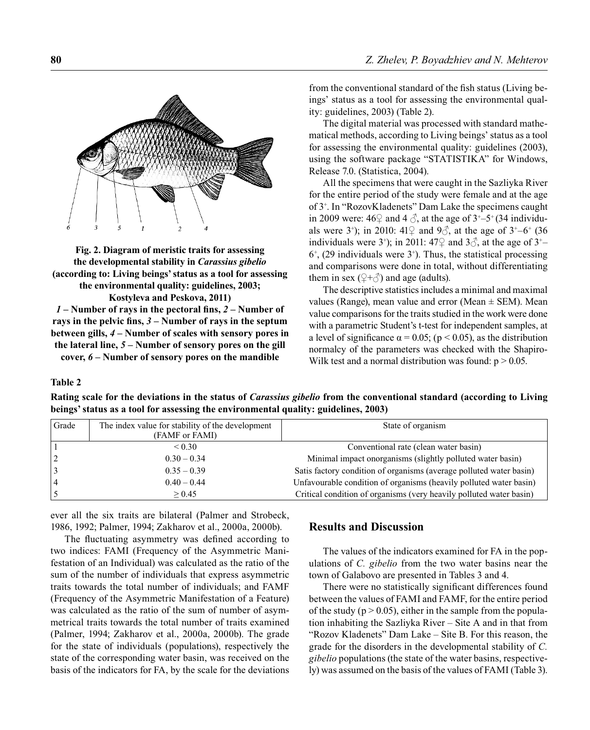

**Fig. 2. Diagram of meristic traits for assessing the developmental stability in** *Carassius gibelio* **(according to: Living beings' status as a tool for assessing the environmental quality: guidelines, 2003;** 

**Kostyleva and Peskova, 2011)**

*1* – Number of rays in the pectoral fins, 2 – Number of rays in the pelvic fins,  $3 -$ Number of rays in the septum **between gills,** *4* **– Number of scales with sensory pores in the lateral line,** *5* **– Number of sensory pores on the gill cover,** *6* **– Number of sensory pores on the mandible**

from the conventional standard of the fish status (Living beings' status as a tool for assessing the environmental quality: guidelines, 2003) (Table 2).

The digital material was processed with standard mathematical methods, according to Living beings' status as a tool for assessing the environmental quality: guidelines (2003), using the software package "STATISTIKA" for Windows, Release 7.0. (Statistica, 2004).

All the specimens that were caught in the Sazliyka River for the entire period of the study were female and at the age of 3+ . In "RozovKladenets" Dam Lake the specimens caught in 2009 were:  $46\frac{}{}{}$  and  $4\frac{}{}{}$ , at the age of  $3^{+}-5^{+}$  (34 individuals were 3<sup>+</sup>); in 2010:  $41\frac{1}{7}$  and  $9\frac{3}{7}$ , at the age of  $3^{\frac{1}{7}-6^{\frac{1}{7}}}$  (36 individuals were 3<sup>+</sup>); in 2011: 47 $\varphi$  and 3 $\varphi$ , at the age of 3<sup>+</sup>- $6^+$ , (29 individuals were  $3^+$ ). Thus, the statistical processing and comparisons were done in total, without differentiating them in sex ( $\left( \frac{1}{\sqrt{2}} \right)$  and age (adults).

The descriptive statistics includes a minimal and maximal values (Range), mean value and error (Mean  $\pm$  SEM). Mean value comparisons for the traits studied in the work were done with a parametric Student's t-test for independent samples, at a level of significance  $\alpha = 0.05$ ; (p < 0.05), as the distribution normalcy of the parameters was checked with the Shapiro-Wilk test and a normal distribution was found:  $p > 0.05$ .

**Table 2** 

**Rating scale for the deviations in the status of** *Carassius gibelio* **from the conventional standard (according to Living beings' status as a tool for assessing the environmental quality: guidelines, 2003)**

| Grade | The index value for stability of the development<br>(FAMF or FAMI) | State of organism                                                   |
|-------|--------------------------------------------------------------------|---------------------------------------------------------------------|
|       | ${}_{0.30}$                                                        | Conventional rate (clean water basin)                               |
| 2     | $0.30 - 0.34$                                                      | Minimal impact onorganisms (slightly polluted water basin)          |
| 3     | $0.35 - 0.39$                                                      | Satis factory condition of organisms (average polluted water basin) |
| 4     | $0.40 - 0.44$                                                      | Unfavourable condition of organisms (heavily polluted water basin)  |
|       | $\geq 0.45$                                                        | Critical condition of organisms (very heavily polluted water basin) |

ever all the six traits are bilateral (Palmer and Strobeck, 1986, 1992; Palmer, 1994; Zakharov et al., 2000a, 2000b).

The fluctuating asymmetry was defined according to two indices: FAMI (Frequency of the Asymmetric Manifestation of an Individual) was calculated as the ratio of the sum of the number of individuals that express asymmetric traits towards the total number of individuals; and FAMF (Frequency of the Asymmetric Manifestation of a Feature) was calculated as the ratio of the sum of number of asymmetrical traits towards the total number of traits examined (Palmer, 1994; Zakharov et al., 2000a, 2000b). The grade for the state of individuals (populations), respectively the state of the corresponding water basin, was received on the basis of the indicators for FA, by the scale for the deviations

# **Results and Discussion**

The values of the indicators examined for FA in the populations of *C. gibelio* from the two water basins near the town of Galabovo are presented in Tables 3 and 4.

There were no statistically significant differences found between the values of FAMI and FAMF, for the entire period of the study ( $p > 0.05$ ), either in the sample from the population inhabiting the Sazliyka River – Site A and in that from "Rozov Kladenets" Dam Lake – Site B. For this reason, the grade for the disorders in the developmental stability of *C. gibelio* populations (the state of the water basins, respectively) was assumed on the basis of the values of FAMI (Table 3).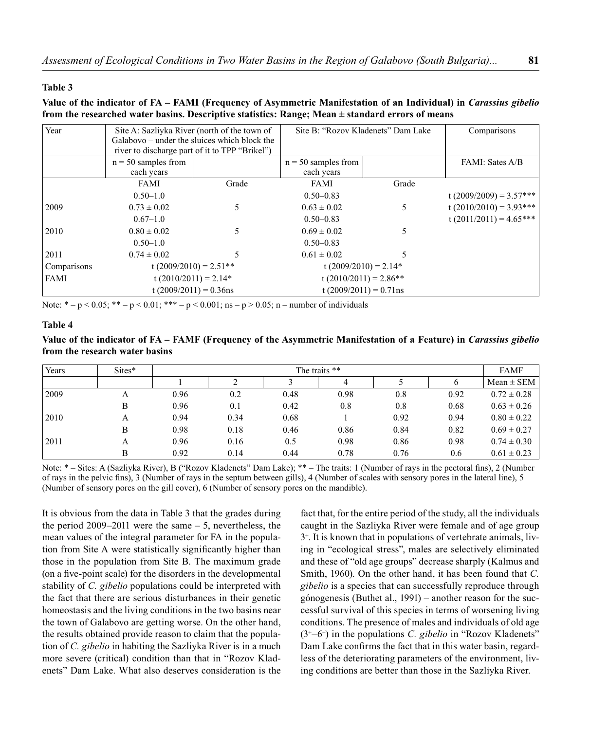#### **Table 3**

### **Value of the indicator of FA – FAMI (Frequency of Asymmetric Manifestation of an Individual) in** *Carassius gibelio*  **from the researched water basins. Descriptive statistics: Range; Mean ± standard errors of means**

| Year        | Site A: Sazliyka River (north of the town of<br>river to discharge part of it to TPP "Brikel") | Galabovo – under the sluices which block the | Site B: "Rozov Kladenets" Dam Lake  | Comparisons |                          |
|-------------|------------------------------------------------------------------------------------------------|----------------------------------------------|-------------------------------------|-------------|--------------------------|
|             | $n = 50$ samples from<br>each years                                                            |                                              | $n = 50$ samples from<br>each years |             | FAMI: Sates A/B          |
|             | FAMI                                                                                           | Grade                                        | <b>FAMI</b>                         | Grade       |                          |
|             | $0.50 - 1.0$                                                                                   |                                              | $0.50 - 0.83$                       |             | $t(2009/2009) = 3.57***$ |
| 2009        | $0.73 \pm 0.02$                                                                                | 5                                            | $0.63 \pm 0.02$                     | 5           | $t(2010/2010) = 3.93***$ |
|             | $0.67 - 1.0$                                                                                   |                                              | $0.50 - 0.83$                       |             | $t(2011/2011) = 4.65***$ |
| 2010        | $0.80 \pm 0.02$                                                                                | 5                                            | $0.69 \pm 0.02$                     | 5           |                          |
|             | $0.50 - 1.0$                                                                                   |                                              | $0.50 - 0.83$                       |             |                          |
| 2011        | $0.74 \pm 0.02$                                                                                |                                              | $0.61 \pm 0.02$                     | 5           |                          |
| Comparisons | t $(2009/2010) = 2.51**$                                                                       |                                              | t $(2009/2010) = 2.14*$             |             |                          |
| FAMI        | t $(2010/2011) = 2.14*$                                                                        |                                              | t $(2010/2011) = 2.86**$            |             |                          |
|             | t $(2009/2011) = 0.36$ ns                                                                      |                                              | t $(2009/2011) = 0.71$ ns           |             |                          |

Note: \* – p < 0.05; \*\* – p < 0.01; \*\*\* – p < 0.001; ns – p > 0.05; n – number of individuals

### **Table 4**

# **Value of the indicator of FA – FAMF (Frequency of the Asymmetric Manifestation of a Feature) in** *Carassius gibelio*  **from the research water basins**

| Years | Sites* | The traits ** |      |      |      |      |      |                 |
|-------|--------|---------------|------|------|------|------|------|-----------------|
|       |        |               |      |      | 4    |      |      | $Mean \pm SEM$  |
| 2009  | А      | 0.96          | 0.2  | 0.48 | 0.98 | 0.8  | 0.92 | $0.72 \pm 0.28$ |
|       | B      | 0.96          | 0.1  | 0.42 | 0.8  | 0.8  | 0.68 | $0.63 \pm 0.26$ |
| 2010  | А      | 0.94          | 0.34 | 0.68 |      | 0.92 | 0.94 | $0.80 \pm 0.22$ |
|       | B      | 0.98          | 0.18 | 0.46 | 0.86 | 0.84 | 0.82 | $0.69 \pm 0.27$ |
| 2011  | А      | 0.96          | 0.16 | 0.5  | 0.98 | 0.86 | 0.98 | $0.74 \pm 0.30$ |
|       | B      | 0.92          | 0.14 | 0.44 | 0.78 | 0.76 | 0.6  | $0.61 \pm 0.23$ |

Note: \* – Sites: A (Sazliyka River), B ("Rozov Kladenets" Dam Lake); \*\* – The traits: 1 (Number of rays in the pectoral fins), 2 (Number of rays in the pelvic fins), 3 (Number of rays in the septum between gills), 4 (Number of scales with sensory pores in the lateral line), 5 (Number of sensory pores on the gill cover), 6 (Number of sensory pores on the mandible).

It is obvious from the data in Table 3 that the grades during the period 2009–2011 were the same – 5, nevertheless, the mean values of the integral parameter for FA in the population from Site A were statistically significantly higher than those in the population from Site B. The maximum grade (on a five-point scale) for the disorders in the developmental stability of *C. gibelio* populations could be interpreted with the fact that there are serious disturbances in their genetic homeostasis and the living conditions in the two basins near the town of Galabovo are getting worse. On the other hand, the results obtained provide reason to claim that the population of *C. gibelio* in habiting the Sazliyka River is in a much more severe (critical) condition than that in "Rozov Kladenets" Dam Lake. What also deserves consideration is the

fact that, for the entire period of the study, all the individuals caught in the Sazliyka River were female and of age group 3+ . It is known that in populations of vertebrate animals, living in "ecological stress", males are selectively eliminated and these of "old age groups" decrease sharply (Kalmus and Smith, 1960). On the other hand, it has been found that *C. gibelio* is a species that can successfully reproduce through gónogenesis (Buthet al., 1991) – another reason for the successful survival of this species in terms of worsening living conditions. The presence of males and individuals of old age (3+–6+ ) in the populations *C. gibelio* in "Rozov Kladenets" Dam Lake confirms the fact that in this water basin, regardless of the deteriorating parameters of the environment, living conditions are better than those in the Sazliyka River.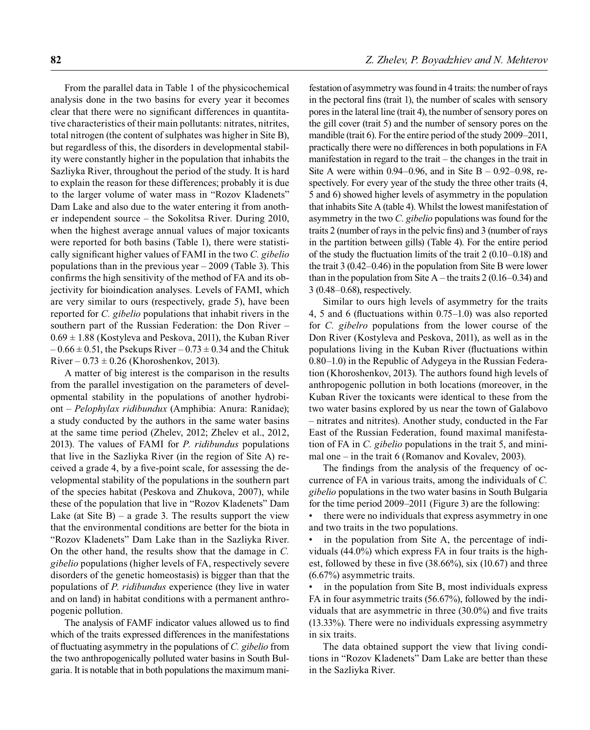From the parallel data in Table 1 of the physicochemical analysis done in the two basins for every year it becomes clear that there were no significant differences in quantitative characteristics of their main pollutants: nitrates, nitrites, total nitrogen (the content of sulphates was higher in Site B), but regardless of this, the disorders in developmental stability were constantly higher in the population that inhabits the Sazliyka River, throughout the period of the study. It is hard to explain the reason for these differences; probably it is due to the larger volume of water mass in "Rozov Kladenets" Dam Lake and also due to the water entering it from another independent source – the Sokolitsa River. During 2010, when the highest average annual values of major toxicants were reported for both basins (Table 1), there were statistically significant higher values of FAMI in the two *C. gibelio* populations than in the previous year – 2009 (Table 3). This confirms the high sensitivity of the method of FA and its objectivity for bioindication analyses. Levels of FAMI, which are very similar to ours (respectively, grade 5), have been reported for *C. gibelio* populations that inhabit rivers in the southern part of the Russian Federation: the Don River –  $0.69 \pm 1.88$  (Kostyleva and Peskova, 2011), the Kuban River  $-0.66 \pm 0.51$ , the Psekups River  $-0.73 \pm 0.34$  and the Chituk River –  $0.73 \pm 0.26$  (Khoroshenkov, 2013).

A matter of big interest is the comparison in the results from the parallel investigation on the parameters of developmental stability in the populations of another hydrobiont – *Pelophylax ridibundux* (Amphibia: Anura: Ranidae); a study conducted by the authors in the same water basins at the same time period (Zhelev, 2012; Zhelev et al., 2012, 2013). The values of FAMI for *P. ridibundus* populations that live in the Sazliyka River (in the region of Site A) received a grade 4, by a five-point scale, for assessing the developmental stability of the populations in the southern part of the species habitat (Peskova and Zhukova, 2007), while these of the population that live in "Rozov Kladenets" Dam Lake (at Site B) – a grade 3. The results support the view that the environmental conditions are better for the biota in "Rozov Kladenets" Dam Lake than in the Sazliyka River. On the other hand, the results show that the damage in *C. gibelio* populations (higher levels of FA, respectively severe disorders of the genetic homeostasis) is bigger than that the populations of *P. ridibundus* experience (they live in water and on land) in habitat conditions with a permanent anthropogenic pollution.

The analysis of FAMF indicator values allowed us to find which of the traits expressed differences in the manifestations of fluctuating asymmetry in the populations of *C. gibelio* from the two anthropogenically polluted water basins in South Bulgaria. It is notable that in both populations the maximum manifestation of asymmetry was found in 4 traits: the number of rays in the pectoral fins (trait 1), the number of scales with sensory pores in the lateral line (trait 4), the number of sensory pores on the gill cover (trait 5) and the number of sensory pores on the mandible (trait 6). For the entire period of the study 2009–2011, practically there were no differences in both populations in FA manifestation in regard to the trait – the changes in the trait in Site A were within 0.94–0.96, and in Site  $B - 0.92$ –0.98, respectively. For every year of the study the three other traits (4, 5 and 6) showed higher levels of asymmetry in the population that inhabits Site A (table 4). Whilst the lowest manifestation of asymmetry in the two *C. gibelio* populations was found for the traits 2 (number of rays in the pelvic fins) and 3 (number of rays in the partition between gills) (Table 4). For the entire period of the study the fluctuation limits of the trait  $2(0.10-0.18)$  and the trait 3 (0.42–0.46) in the population from Site B were lower than in the population from Site  $A$  – the traits 2 (0.16–0.34) and 3 (0.48–0.68), respectively.

Similar to ours high levels of asymmetry for the traits 4, 5 and 6 (fluctuations within  $0.75-1.0$ ) was also reported for *C. gibelro* populations from the lower course of the Don River (Kostyleva and Peskova, 2011), as well as in the populations living in the Kuban River (fluctuations within 0.80–1.0) in the Republic of Adygeya in the Russian Federation (Khoroshenkov, 2013). The authors found high levels of anthropogenic pollution in both locations (moreover, in the Kuban River the toxicants were identical to these from the two water basins explored by us near the town of Galabovo – nitrates and nitrites). Another study, conducted in the Far East of the Russian Federation, found maximal manifestation of FA in *C. gibelio* populations in the trait 5, and minimal one – in the trait 6 (Romanov and Kovalev, 2003).

The findings from the analysis of the frequency of occurrence of FA in various traits, among the individuals of *C. gibelio* populations in the two water basins in South Bulgaria for the time period 2009–2011 (Figure 3) are the following:

• there were no individuals that express asymmetry in one and two traits in the two populations.

in the population from Site A, the percentage of individuals (44.0%) which express FA in four traits is the highest, followed by these in five  $(38.66\%)$ , six  $(10.67)$  and three (6.67%) asymmetric traits.

in the population from Site B, most individuals express FA in four asymmetric traits (56.67%), followed by the individuals that are asymmetric in three  $(30.0\%)$  and five traits (13.33%). There were no individuals expressing asymmetry in six traits.

The data obtained support the view that living conditions in "Rozov Kladenets" Dam Lake are better than these in the Sazliyka River.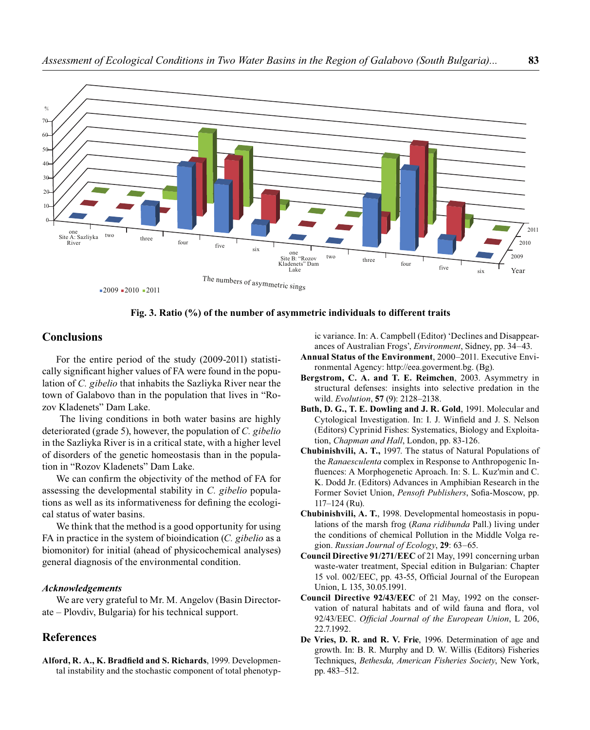

**Fig. 3. Ratio (%) of the number of asymmetric individuals to different traits**

The numbers of asymmetric sings

Kladenets" Dam Lake

# **Conclusions**

one Site A: Sazliyka River

 $\boldsymbol{0}$ 

For the entire period of the study (2009-2011) statistically significant higher values of FA were found in the population of *C. gibelio* that inhabits the Sazliyka River near the town of Galabovo than in the population that lives in "Rozov Kladenets" Dam Lake.

 $-2009 - 2010 - 2011$ 

two three four five six one Site B: "Rozov

 The living conditions in both water basins are highly deteriorated (grade 5), however, the population of *C. gibelio*  in the Sazliyka River is in a critical state, with a higher level of disorders of the genetic homeostasis than in the population in "Rozov Kladenets" Dam Lake.

We can confirm the objectivity of the method of FA for assessing the developmental stability in *C. gibelio* populations as well as its informativeness for defining the ecological status of water basins.

We think that the method is a good opportunity for using FA in practice in the system of bioindication (*C. gibelio* as a biomonitor) for initial (ahead of physicochemical analyses) general diagnosis of the environmental condition.

#### *Acknowledgements*

We are very grateful to Mr. M. Angelov (Basin Directorate – Plovdiv, Bulgaria) for his technical support.

# **References**

Alford, R. A., K. Bradfield and S. Richards, 1999. Developmental instability and the stochastic component of total phenotypic variance. In: A. Campbell (Editor) 'Declines and Disappearances of Australian Frogs', *Environment*, Sidney, pp. 34–43.

**Annual Status of the Environment**, 2000–2011. Executive Environmental Agency: http://eea.goverment.bg. (Bg).

two three four five six

- **Bergstrom, C. A. and T. E. Reimchen**, 2003. Asymmetry in structural defenses: insights into selective predation in the wild. *Evolution*, **57** (9): 2128–2138.
- **Buth, D. G., T. E. Dowling and J. R. Gold**, 1991. Molecular and Cytological Investigation. In: I. J. Winfield and J. S. Nelson (Editors) Cyprinid Fishes: Systematics, Biology and Exploitation, *Chapman and Hall*, London, pp. 83-126.
- **Chubinishvili, A. T.,** 1997. The status of Natural Populations of the *Ranaesculenta* complex in Response to Anthropogenic Influences: A Morphogenetic Aproach. In: S. L. Kuz'min and C. K. Dodd Jr. (Editors) Advances in Amphibian Research in the Former Soviet Union, *Pensoft Publishers*, Sofia-Moscow, pp. 117–124 (Ru).
- **Chubinishvili, A. T.**, 1998. Developmental homeostasis in populations of the marsh frog (*Rana ridibunda* Pall.) living under the conditions of chemical Pollution in the Middle Volga region. *Russian Journal of Ecology*, **29**: 63–65.
- **Council Directive 91/271/ЕЕC** of 21 May, 1991 concerning urban waste-water treatment, Special edition in Bulgarian: Chapter 15 vol. 002/EEC, pp. 43-55, Official Journal of the European Union, L 135, 30.05.1991.
- **Council Directive 92/43/EEC** of 21 May, 1992 on the conservation of natural habitats and of wild fauna and flora, vol 92/43/EEC. *Official Journal of the European Union*, L 206, 22.7.1992.
- **De Vries, D. R. and R. V. Frie**, 1996. Determination of age and growth. In: B. R. Murphy and D. W. Willis (Editors) Fisheries Techniques, *Bethesda*, *American Fisheries Society*, New York, pp. 483–512.

2009 2010 2011

Year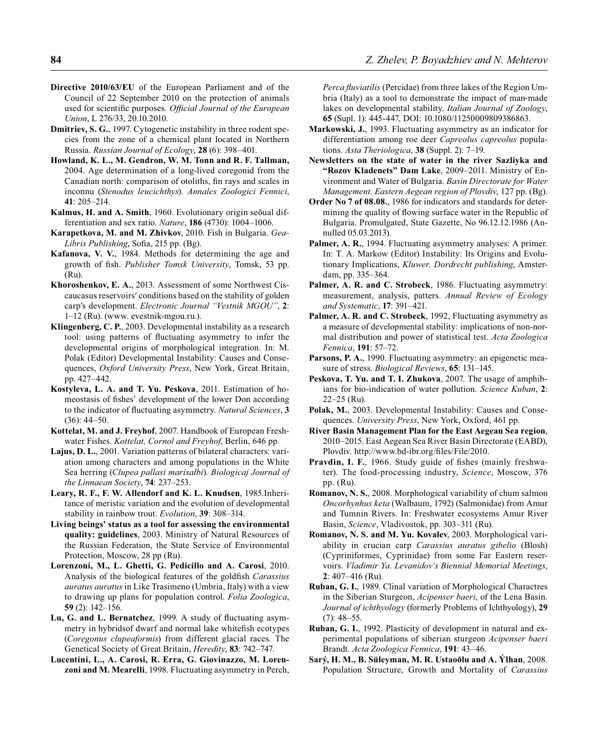- **Directive 2010/63/EU** of the European Parliament and of the Council of 22 September 2010 on the protection of animals used for scientific purposes. Official Journal of the European *Union*, L 276/33, 20.10.2010.
- **Dmitriev, S. G.**, 1997. Cytogenetic instability in three rodent species from the zone of a chemical plant located in Northern Russia. *Russian Journal of Ecology*, **28** (6): 398–401.
- **Howland, K. L., M. Gendron, W. M. Tonn and R. F. Tallman,** 2004. Age determination of a long-lived coregonid from the Canadian north: comparison of otoliths, fin rays and scales in inconnu (*Stenodus leucichthys*). *Annales Zoologici Fennici*, **41**: 205–214.
- **Kalmus, H. and A. Smith**, 1960. Evolutionary origin seõual differentiation and sex ratio. *Nature*, **186** (4730): 1004–1006.
- **Karapetkova, M. and M. Zhivkov**, 2010. Fish in Bulgaria. *Gea-Libris Publishing*, Sofia, 215 pp. (Bg).
- **Kafanova, V. V.**, 1984. Methods for determining the age and growth of fish. *Publisher Tomsk University*, Tomsk, 53 pp. (Ru).
- **Khoroshenkov, E. A.**, 2013. Assessment of some Northwest Ciscaucasus reservoirs′ conditions based on the stability of golden carp′s development. *Electronic Journal "Vestnik МGOU"*, **2**: 1–12 (Ru). (www. evestnik-mgou.ru.).
- **Klingenberg, C. P.**, 2003. Developmental instability as a research tool: using patterns of fluctuating asymmetry to infer the developmental origins of morphological integration. In: M. Polak (Editor) Developmental Instability: Causes and Consequences, *Oxford University Press*, New York, Great Britain, pp. 427–442.
- **Kostyleva, L. A. and T. Yu. Peskova**, 2011. Estimation of homeostasis of fishes' development of the lower Don according to the indicator of fluctuating asymmetry. *Natural Sciences*, 3 (36): 44–50.
- **Kottelat, M. and J. Freyhof**, 2007. Handbook of European Freshwater Fishes. *Kottelat, Cornol and Freyhof*, Berlin, 646 pp.
- **Lajus, D. L.**, 2001. Variation patterns of bilateral characters: variation among characters and among populations in the White Sea herring (*Clupea pallasi marisalbi*). *Biologicaj Journal of the Linnaean Society*, **74**: 237–253.
- **Leary, R. F., F. W. Allendorf and K. L. Knudsen**, 1985.Inheritance of meristic variation and the evolution of developmental stability in rainbow trout. *Evolution*, **39**: 308–314.
- **Living beings' status as a tool for assessing the environmental quality: guidelines**, 2003. Ministry of Natural Resources of the Russian Federation, the State Service of Environmental Protection, Moscow, 28 pp (Ru).
- **Lorenzoni, M., L. Ghetti, G. Pedicillo and A. Carosi**, 2010. Analysis of the biological features of the goldfish *Carassius auratus auratus* in Like Trasimeno (Umbria, Italy) with a view to drawing up plans for population control. *Folia Zoologica*, **59** (2): 142–156.
- Lu, G. and L. Bernatchez, 1999. A study of fluctuating asymmetry in hybridsof dwarf and normal lake whitefish ecotypes (*Coregonus clupeaformis*) from different glacial races. The Genetical Society of Great Britain, *Heredity*, **83**: 742–747.
- **Lucentini, L., A. Carosi, R. Erra, G. Giovinazzo, M. Lorenzoni and M. Mearelli**, 1998. Fluctuating asymmetry in Perch,

*Perca fluviatilis* (Percidae) from three lakes of the Region Umbria (Italy) as a tool to demonstrate the impact of man-made lakes on developmental stability. *Italian Journal of Zoology*, **65** (Supl. 1): 445-447, DOI: 10.1080/11250009809386863.

- **Markowski, J.**, 1993. Fluctuating asymmetry as an indicator for differentiation among roe deer *Capreolus capreolus* populations. *Asta Theriologica*, **38** (Suppl. 2): 7–19.
- **Newsletters on the state of water in the river Sazliyka and "Rozov Kladenets" Dam Lake**, 2009–2011. Ministry of Environment and Water of Bulgaria. *Basin Directorate for Water Management. Eastern Aegean region of Plovdiv*, 127 pp. (Bg).
- **Order No 7 of 08.08.**, 1986 for indicators and standards for determining the quality of flowing surface water in the Republic of Bulgaria. Promulgated, State Gazette, No 96.12.12.1986 (Annulled 05.03.2013).
- **Palmer, A. R.**, 1994. Fluctuating asymmetry analyses: A primer. In: T. A. Markow (Editor) Instability: Its Origins and Evolutionary Implications, *Kluwer, Dordrecht publishing*, Amsterdam, pp. 335–364.
- **Palmer, A. R. and C. Strobeck**, 1986. Fluctuating asymmetry: measurement, analysis, patters. *Annual Review of Ecology and Systematic*, **17**: 391–421.
- **Palmer, A. R. and C. Strobeck**, 1992, Fluctuating asymmetry as a measure of developmental stability: implications of non-normal distribution and power of statistical test. *Acta Zoologica Fennica*, **191**: 57–72.
- Parsons, P. A., 1990. Fluctuating asymmetry: an epigenetic measure of stress. *Biological Reviews*, **65**: 131–145.
- **Peskova, T. Yu. and T. I. Zhukova**, 2007. The usage of amphibians for bio-indication of water pollution. *Science Kuban*, **2**: 22–25 (Ru).
- **Polak, M.**, 2003. Developmental Instability: Causes and Consequences. *University Press*, New York, Oxford, 461 pp.
- **River Basin Management Plan for the East Aegean Sea region**, 2010–2015. East Aegean Sea River Basin Directorate (EABD), Plovdiv. http://www.bd-ibr.org/files/File/2010.
- **Pravdin, I. F.**, 1966. Study guide of fishes (mainly freshwater). The food-processing industry, *Science*, Moscow, 376 pp. (Ru).
- **Romanov, N. S.**, 2008. Morphological variability of chum salmon *Oncorhynhus keta* (Walbaum, 1792) (Salmonidae) from Amur and Tumnin Rivers. In: Freshwater ecosystems Amur River Basin, *Science*, Vladivostok, pp. 303–311 (Ru).
- **Romanov, N. S. and M. Yu. Kovalev**, 2003. Morphological variability in crucian carp *Carassius auratus gibelio* (Blosh) (Cypriniformes, Cyprinidae) from some Far Eastern reservoirs. *Vladimir Ya. Levanidov's Biennial Memorial Meetings*, **2**: 407–416 (Ru).
- **Ruban, G. I.**, 1989. Clinal variation of Morphological Charactres in the Siberian Sturgeon, *Acipenser baeri*, of the Lena Basin. *Journal of ichthyology* (formerly Problems of Ichthyology), **29**  $(7): 48 - 55.$
- **Ruban, G. I.**, 1992. Plasticity of development in natural and experimental populations of siberian sturgeon *Acipenser baeri* Brandt. *Acta Zoologica Fennica*, **191**: 43–46.
- **Sarý, H. M., B. Süleyman, M. R. Ustaoðlu and A. Ýlhan**, 2008. Population Structure, Growth and Mortality of *Carassius*